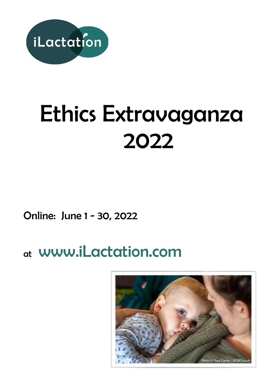

# Ethics Extravaganza 2022

Online: June 1 - 30, 2022

## at [www.iLactation.com](http://www.ilactation.com/)

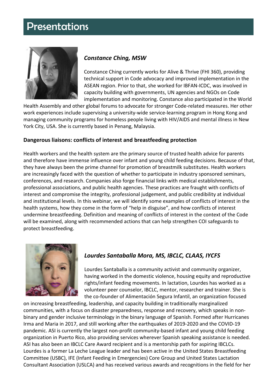### **Presentations**



### *Constance Ching, MSW*

Constance Ching currently works for Alive & Thrive (FHI 360), providing technical support in Code advocacy and improved implementation in the ASEAN region. Prior to that, she worked for IBFAN-ICDC, was involved in capacity building with governments, UN agencies and NGOs on Code implementation and monitoring. Constance also participated in the World

Health Assembly and other global forums to advocate for stronger Code-related measures. Her other work experiences include supervising a university-wide service-learning program in Hong Kong and managing community programs for homeless people living with HIV/AIDS and mental illness in New York City, USA. She is currently based in Penang, Malaysia.

### **Dangerous liaisons: conflicts of interest and breastfeeding protection**

Health workers and the health system are the primary source of trusted health advice for parents and therefore have immense influence over infant and young child feeding decisions. Because of that, they have always been the prime channel for promotion of breastmilk substitutes. Health workers are increasingly faced with the question of whether to participate in industry sponsored seminars, conferences, and research. Companies also forge financial links with medical establishments, professional associations, and public health agencies. These practices are fraught with conflicts of interest and compromise the integrity, professional judgement, and public credibility at individual and institutional levels. In this webinar, we will identify some examples of conflicts of interest in the health systems, how they come in the form of "help in disguise", and how conflicts of interest undermine breastfeeding. Definition and meaning of conflicts of interest in the context of the Code will be examined, along with recommended actions that can help strengthen COI safeguards to protect breastfeeding.



### *Lourdes Santaballa Mora, MS, IBCLC, CLAAS, IYCFS*

Lourdes Santaballa is a community activist and community organizer, having worked in the domestic violence, housing equity and reproductive rights/infant feeding movements. In lactation, Lourdes has worked as a volunteer peer counselor, IBCLC, mentor, researcher and trainer. She is the co-founder of Alimentación Segura Infantil, an organization focused

on increasing breastfeeding, leadership, and capacity building in traditionally marginalized communities, with a focus on disaster preparedness, response and recovery, which speaks in nonbinary and gender inclusive terminology in the binary language of Spanish. Formed after Hurricanes Irma and Maria in 2017, and still working after the earthquakes of 2019-2020 and the COVID-19 pandemic. ASI is currently the largest non-profit community-based infant and young child feeding organization in Puerto Rico, also providing services wherever Spanish speaking assistance is needed. ASI has also been an IBCLC Care Award recipient and is a mentorship path for aspiring IBCLCs. Lourdes is a former La Leche League leader and has been active in the United States Breastfeeding Committee (USBC), IFE (Infant Feeding in Emergencies) Core Group and United States Lactation Consultant Association (USLCA) and has received various awards and recognitions in the field for her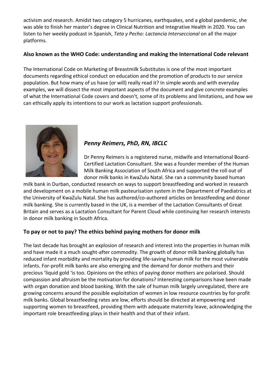activism and research. Amidst two category 5 hurricanes, earthquakes, and a global pandemic, she was able to finish her master's degree in Clinical Nutrition and Integrative Health in 2020. You can listen to her weekly podcast in Spanish, *Teta y Pecho: Lactancia Interseccional* on all the major platforms.

### **Also known as the WHO Code: understanding and making the International Code relevant**

The International Code on Marketing of Breastmilk Substitutes is one of the most important documents regarding ethical conduct on education and the promotion of products to our service population. But how many of us have (or will) really read it? In simple words and with everyday examples, we will dissect the most important aspects of the document and give concrete examples of what the International Code covers and doesn't, some of its problems and limitations, and how we can ethically apply its intentions to our work as lactation support professionals.



### *Penny Reimers, PhD, RN, IBCLC*

Dr Penny Reimers is a registered nurse, midwife and International Board-Certified Lactation Consultant. She was a founder member of the Human Milk Banking Association of South Africa and supported the roll out of donor milk banks in KwaZulu Natal. She ran a community based human

milk bank in Durban, conducted research on ways to support breastfeeding and worked in research and development on a mobile human milk pasteurisation system in the Department of Paediatrics at the University of KwaZulu Natal. She has authored/co-authored articles on breastfeeding and donor milk banking. She is currently based in the UK, is a member of the Lactation Consultants of Great Britain and serves as a Lactation Consultant for Parent Cloud while continuing her research interests in donor milk banking in South Africa.

### **To pay or not to pay? The ethics behind paying mothers for donor milk**

The last decade has brought an explosion of research and interest into the properties in human milk and have made it a much sought-after commodity. The growth of donor milk banking globally has reduced infant morbidity and mortality by providing life-saving human milk for the most vulnerable infants. For-profit milk banks are also emerging and the demand for donor mothers and their precious 'liquid gold 'is too. Opinions on the ethics of paying donor mothers are polarised. Should compassion and altruism be the motivation for donations? Interesting comparisons have been made with organ donation and blood banking. With the sale of human milk largely unregulated, there are growing concerns around the possible exploitation of women in low resource countries by for-profit milk banks. Global breastfeeding rates are low, efforts should be directed at empowering and supporting women to breastfeed, providing them with adequate maternity leave, acknowledging the important role breastfeeding plays in their health and that of their infant.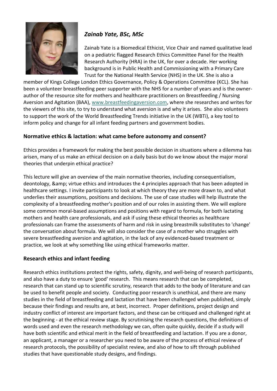

### *Zainab Yate, BSc, MSc*

Zainab Yate is a Biomedical Ethicist, Vice Chair and named qualitative lead on a pediatric flagged Research Ethics Committee Panel for the Health Research Authority (HRA) in the UK, for over a decade. Her working background is in Public Health and Commissioning with a Primary Care Trust for the National Health Service (NHS) in the UK. She is also a

member of Kings College London Ethics Governance, Policy & Operations Committee (KCL). She has been a volunteer breastfeeding peer supporter with the NHS for a number of years and is the ownerauthor of the resource site for mothers and healthcare practitioners on Breastfeeding / Nursing Aversion and Agitation (BAA), [www.breastfeedingaversion.com,](https://www.breastfeedingaversion.com/) where she researches and writes for the viewers of this site, to try to understand what aversion is and why it arises. She also volunteers to support the work of the World Breastfeeding Trends initiative in the UK (WBTi), a key tool to inform policy and change for all infant feeding partners and government bodies.

### **Normative ethics & lactation: what came before autonomy and consent?**

Ethics provides a framework for making the best possible decision in situations where a dilemma has arisen, many of us make an ethical decision on a daily basis but do we know about the major moral theories that underpin ethical practice?

This lecture will give an overview of the main normative theories, including consequentialism, deontology, & amp; virtue ethics and introduces the 4 principles approach that has been adopted in healthcare settings. I invite participants to look at which theory they are more drawn to, and what underlies their assumptions, positions and decisions. The use of case studies will help illustrate the complexity of a breastfeeding mother's position and of our roles in assisting them. We will explore some common moral-based assumptions and positions with regard to formula, for both lactating mothers and health care professionals, and ask if using these ethical theories as healthcare professionals can frame the assessments of harm and risk in using breastmilk substitutes to 'change' the conversation about formula. We will also consider the case of a mother who struggles with severe breastfeeding aversion and agitation, in the lack of any evidenced-based treatment or practice, we look at why something like using ethical frameworks matter.

### **Research ethics and infant feeding**

Research ethics institutions protect the rights, safety, dignity, and well-being of research participants, and also have a duty to ensure 'good' research. This means research that can be completed, research that can stand up to scientific scrutiny, research that adds to the body of literature and can be used to benefit people and society. Conducting poor research is unethical, and there are many studies in the field of breastfeeding and lactation that have been challenged when published, simply because their findings and results are, at best, incorrect. Proper definitions, project design and industry conflict of interest are important factors, and these can be critiqued and challenged right at the beginning - at the ethical review stage. By scrutinising the research questions, the definitions of words used and even the research methodology we can, often quite quickly, decide if a study will have both scientific and ethical merit in the field of breastfeeding and lactation. If you are a donor, an applicant, a manager or a researcher you need to be aware of the process of ethical review of research protocols, the possibility of specialist review, and also of how to sift through published studies that have questionable study designs, and findings.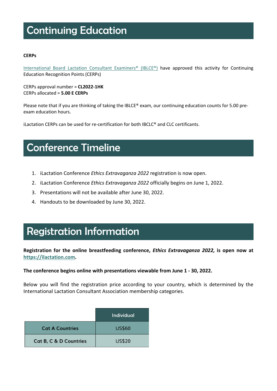### Continuing Education

### **CERPs**

[International Board Lactation Consultant Examiners® \(IBLCE®\)](http://www.iblce.org/) have approved this activity for Continuing Education Recognition Points (CERPs)

CERPs approval number = **CL2022-1HK** CERPs allocated = **5.00 E CERPs**

Please note that if you are thinking of taking the IBLCE® exam, our continuing education counts for 5.00 preexam education hours.

iLactation CERPs can be used for re-certification for both IBCLC® and CLC certificants.

### Conference Timeline

- 1. iLactation Conference *Ethics Extravaganza 2022* registration is now open.
- 2. iLactation Conference *Ethics Extravaganza 2022* officially begins on June 1, 2022.
- 3. Presentations will not be available after June 30, 2022.
- 4. Handouts to be downloaded by June 30, 2022.

### Registration Information

**Registration for the online breastfeeding conference,** *Ethics Extravaganza 2022,* **is open now at [https://ilactation.com.](https://ilactation.com/)** 

### **The conference begins online with presentations viewable from June 1 - 30, 2022.**

Below you will find the registration price according to your country, which is determined by the International Lactation Consultant Association membership categories.

|                                   | Individual    |
|-----------------------------------|---------------|
| <b>Cat A Countries</b>            | <b>US\$60</b> |
| <b>Cat B, C &amp; D Countries</b> | <b>US\$20</b> |